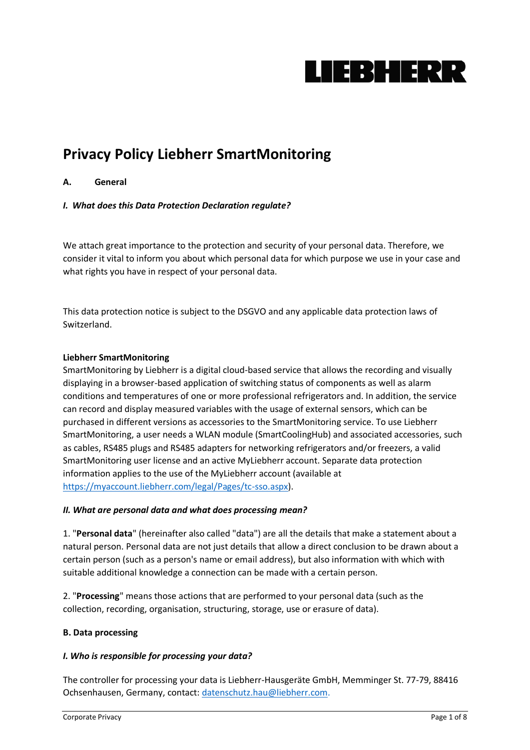

# **Privacy Policy Liebherr SmartMonitoring**

# **A. General**

# *I. What does this Data Protection Declaration regulate?*

We attach great importance to the protection and security of your personal data. Therefore, we consider it vital to inform you about which personal data for which purpose we use in your case and what rights you have in respect of your personal data.

This data protection notice is subject to the DSGVO and any applicable data protection laws of Switzerland.

# **Liebherr SmartMonitoring**

SmartMonitoring by Liebherr is a digital cloud-based service that allows the recording and visually displaying in a browser-based application of switching status of components as well as alarm conditions and temperatures of one or more professional refrigerators and. In addition, the service can record and display measured variables with the usage of external sensors, which can be purchased in different versions as accessories to the SmartMonitoring service. To use Liebherr SmartMonitoring, a user needs a WLAN module (SmartCoolingHub) and associated accessories, such as cables, RS485 plugs and RS485 adapters for networking refrigerators and/or freezers, a valid SmartMonitoring user license and an active MyLiebherr account. Separate data protection information applies to the use of the MyLiebherr account (available at [https://myaccount.liebherr.com/legal/Pages/tc-sso.aspx\)](https://myaccount.liebherr.com/legal/Pages/tc-sso.aspx).

# *II. What are personal data and what does processing mean?*

1. "**Personal data**" (hereinafter also called "data") are all the details that make a statement about a natural person. Personal data are not just details that allow a direct conclusion to be drawn about a certain person (such as a person's name or email address), but also information with which with suitable additional knowledge a connection can be made with a certain person.

2. "**Processing**" means those actions that are performed to your personal data (such as the collection, recording, organisation, structuring, storage, use or erasure of data).

# **B. Data processing**

# *I. Who is responsible for processing your data?*

The controller for processing your data is Liebherr-Hausgeräte GmbH, Memminger St. 77-79, 88416 Ochsenhausen, Germany, contact: [datenschutz.hau@liebherr.com.](mailto:datenschutz.hau@liebherr.com)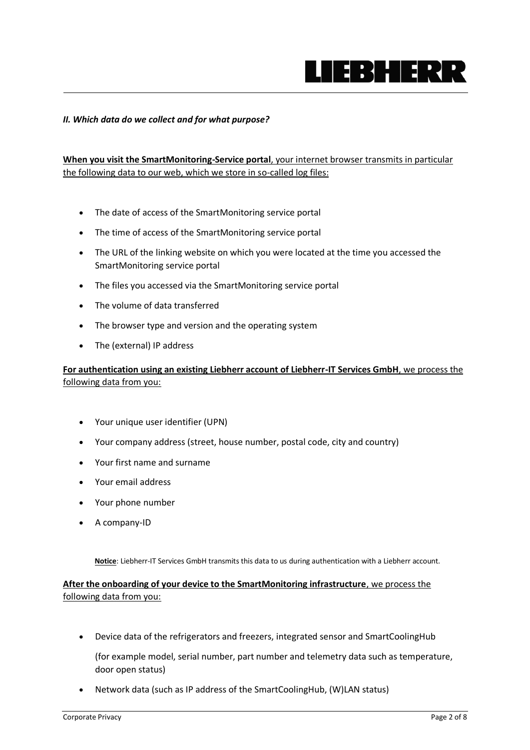

#### *II. Which data do we collect and for what purpose?*

**When you visit the SmartMonitoring-Service portal**, your internet browser transmits in particular the following data to our web, which we store in so-called log files:

- The date of access of the SmartMonitoring service portal
- The time of access of the SmartMonitoring service portal
- The URL of the linking website on which you were located at the time you accessed the SmartMonitoring service portal
- The files you accessed via the SmartMonitoring service portal
- The volume of data transferred
- The browser type and version and the operating system
- The (external) IP address

# **For authentication using an existing Liebherr account of Liebherr-IT Services GmbH**, we process the following data from you:

- Your unique user identifier (UPN)
- Your company address (street, house number, postal code, city and country)
- Your first name and surname
- Your email address
- Your phone number
- A company-ID

**Notice**: Liebherr-IT Services GmbH transmits this data to us during authentication with a Liebherr account.

**After the onboarding of your device to the SmartMonitoring infrastructure**, we process the following data from you:

• Device data of the refrigerators and freezers, integrated sensor and SmartCoolingHub

(for example model, serial number, part number and telemetry data such as temperature, door open status)

• Network data (such as IP address of the SmartCoolingHub, (W)LAN status)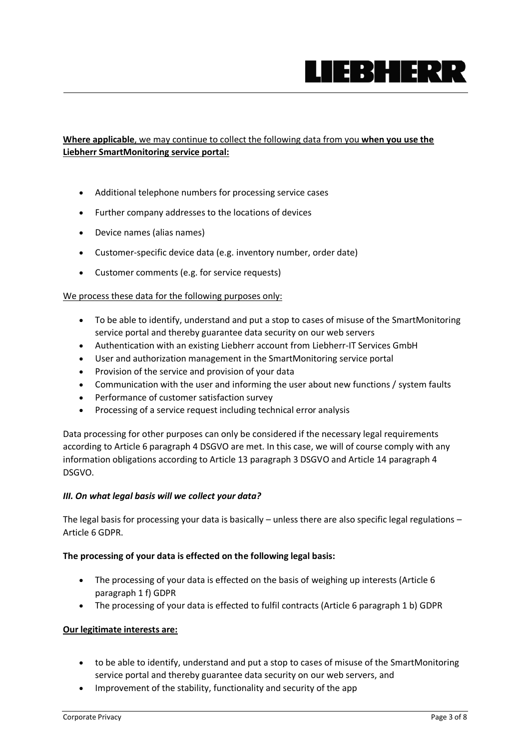

# **Where applicable**, we may continue to collect the following data from you **when you use the Liebherr SmartMonitoring service portal:**

- Additional telephone numbers for processing service cases
- Further company addresses to the locations of devices
- Device names (alias names)
- Customer-specific device data (e.g. inventory number, order date)
- Customer comments (e.g. for service requests)

#### We process these data for the following purposes only:

- To be able to identify, understand and put a stop to cases of misuse of the SmartMonitoring service portal and thereby guarantee data security on our web servers
- Authentication with an existing Liebherr account from Liebherr-IT Services GmbH
- User and authorization management in the SmartMonitoring service portal
- Provision of the service and provision of your data
- Communication with the user and informing the user about new functions / system faults
- Performance of customer satisfaction survey
- Processing of a service request including technical error analysis

Data processing for other purposes can only be considered if the necessary legal requirements according to Article 6 paragraph 4 DSGVO are met. In this case, we will of course comply with any information obligations according to Article 13 paragraph 3 DSGVO and Article 14 paragraph 4 DSGVO.

# *III. On what legal basis will we collect your data?*

The legal basis for processing your data is basically – unless there are also specific legal regulations – Article 6 GDPR.

# **The processing of your data is effected on the following legal basis:**

- The processing of your data is effected on the basis of weighing up interests (Article 6 paragraph 1 f) GDPR
- The processing of your data is effected to fulfil contracts (Article 6 paragraph 1 b) GDPR

# **Our legitimate interests are:**

- to be able to identify, understand and put a stop to cases of misuse of the SmartMonitoring service portal and thereby guarantee data security on our web servers, and
- Improvement of the stability, functionality and security of the app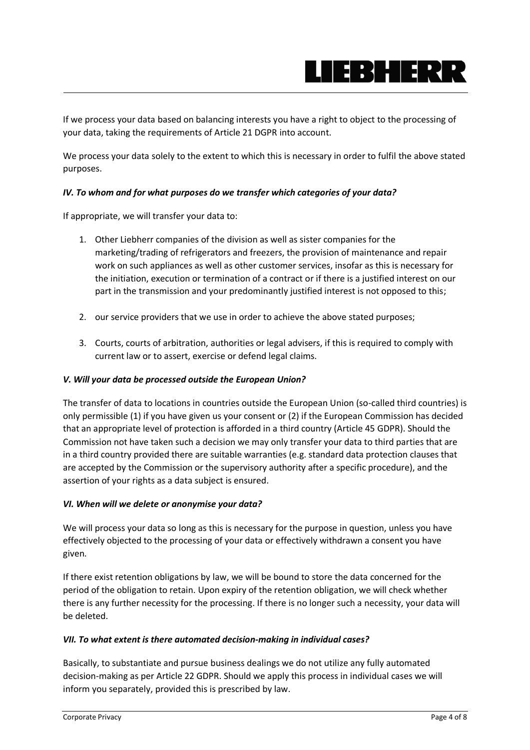

If we process your data based on balancing interests you have a right to object to the processing of your data, taking the requirements of Article 21 DGPR into account.

We process your data solely to the extent to which this is necessary in order to fulfil the above stated purposes.

# *IV. To whom and for what purposes do we transfer which categories of your data?*

If appropriate, we will transfer your data to:

- 1. Other Liebherr companies of the division as well as sister companies for the marketing/trading of refrigerators and freezers, the provision of maintenance and repair work on such appliances as well as other customer services, insofar as this is necessary for the initiation, execution or termination of a contract or if there is a justified interest on our part in the transmission and your predominantly justified interest is not opposed to this;
- 2. our service providers that we use in order to achieve the above stated purposes;
- 3. Courts, courts of arbitration, authorities or legal advisers, if this is required to comply with current law or to assert, exercise or defend legal claims.

# *V. Will your data be processed outside the European Union?*

The transfer of data to locations in countries outside the European Union (so-called third countries) is only permissible (1) if you have given us your consent or (2) if the European Commission has decided that an appropriate level of protection is afforded in a third country (Article 45 GDPR). Should the Commission not have taken such a decision we may only transfer your data to third parties that are in a third country provided there are suitable warranties (e.g. standard data protection clauses that are accepted by the Commission or the supervisory authority after a specific procedure), and the assertion of your rights as a data subject is ensured.

# *VI. When will we delete or anonymise your data?*

We will process your data so long as this is necessary for the purpose in question, unless you have effectively objected to the processing of your data or effectively withdrawn a consent you have given.

If there exist retention obligations by law, we will be bound to store the data concerned for the period of the obligation to retain. Upon expiry of the retention obligation, we will check whether there is any further necessity for the processing. If there is no longer such a necessity, your data will be deleted.

# *VII. To what extent is there automated decision-making in individual cases?*

Basically, to substantiate and pursue business dealings we do not utilize any fully automated decision-making as per Article 22 GDPR. Should we apply this process in individual cases we will inform you separately, provided this is prescribed by law.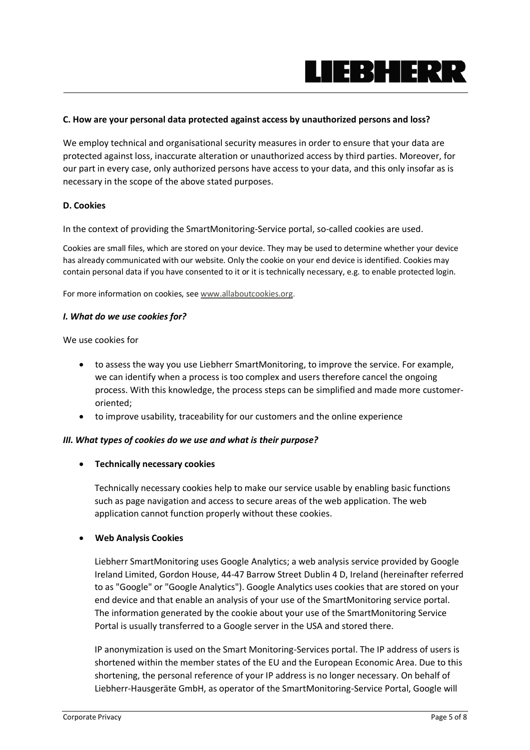

# **C. How are your personal data protected against access by unauthorized persons and loss?**

We employ technical and organisational security measures in order to ensure that your data are protected against loss, inaccurate alteration or unauthorized access by third parties. Moreover, for our part in every case, only authorized persons have access to your data, and this only insofar as is necessary in the scope of the above stated purposes.

#### **D. Cookies**

In the context of providing the SmartMonitoring-Service portal, so-called cookies are used.

Cookies are small files, which are stored on your device. They may be used to determine whether your device has already communicated with our website. Only the cookie on your end device is identified. Cookies may contain personal data if you have consented to it or it is technically necessary, e.g. to enable protected login.

For more information on cookies, see [www.allaboutcookies.org.](https://www.liebherr.com/en/deu/disclaimer/www.allaboutcookies.org)

#### *I. What do we use cookies for?*

We use cookies for

- to assess the way you use Liebherr SmartMonitoring, to improve the service. For example, we can identify when a process is too complex and users therefore cancel the ongoing process. With this knowledge, the process steps can be simplified and made more customeroriented;
- to improve usability, traceability for our customers and the online experience

#### *III. What types of cookies do we use and what is their purpose?*

#### • **Technically necessary cookies**

Technically necessary cookies help to make our service usable by enabling basic functions such as page navigation and access to secure areas of the web application. The web application cannot function properly without these cookies.

#### • **Web Analysis Cookies**

Liebherr SmartMonitoring uses Google Analytics; a web analysis service provided by Google Ireland Limited, Gordon House, 44-47 Barrow Street Dublin 4 D, Ireland (hereinafter referred to as "Google" or "Google Analytics"). Google Analytics uses cookies that are stored on your end device and that enable an analysis of your use of the SmartMonitoring service portal. The information generated by the cookie about your use of the SmartMonitoring Service Portal is usually transferred to a Google server in the USA and stored there.

IP anonymization is used on the Smart Monitoring-Services portal. The IP address of users is shortened within the member states of the EU and the European Economic Area. Due to this shortening, the personal reference of your IP address is no longer necessary. On behalf of Liebherr-Hausgeräte GmbH, as operator of the SmartMonitoring-Service Portal, Google will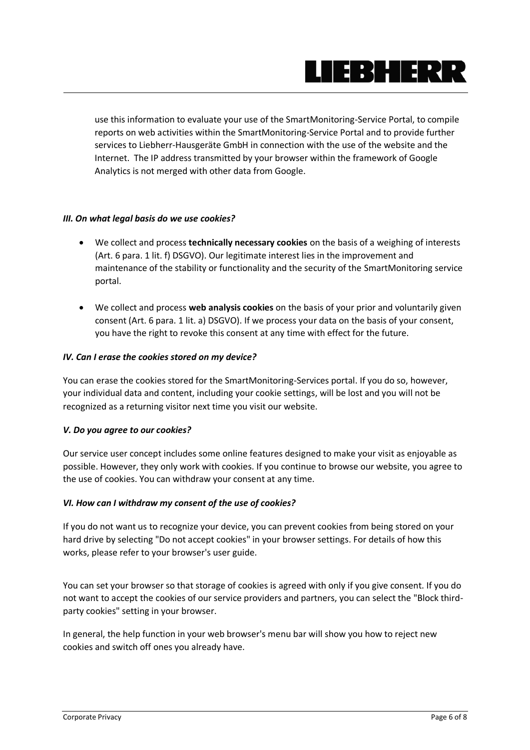

use this information to evaluate your use of the SmartMonitoring-Service Portal, to compile reports on web activities within the SmartMonitoring-Service Portal and to provide further services to Liebherr-Hausgeräte GmbH in connection with the use of the website and the Internet. The IP address transmitted by your browser within the framework of Google Analytics is not merged with other data from Google.

# *III. On what legal basis do we use cookies?*

- We collect and process **technically necessary cookies** on the basis of a weighing of interests (Art. 6 para. 1 lit. f) DSGVO). Our legitimate interest lies in the improvement and maintenance of the stability or functionality and the security of the SmartMonitoring service portal.
- We collect and process **web analysis cookies** on the basis of your prior and voluntarily given consent (Art. 6 para. 1 lit. a) DSGVO). If we process your data on the basis of your consent, you have the right to revoke this consent at any time with effect for the future.

#### *IV. Can I erase the cookies stored on my device?*

You can erase the cookies stored for the SmartMonitoring-Services portal. If you do so, however, your individual data and content, including your cookie settings, will be lost and you will not be recognized as a returning visitor next time you visit our website.

# *V. Do you agree to our cookies?*

Our service user concept includes some online features designed to make your visit as enjoyable as possible. However, they only work with cookies. If you continue to browse our website, you agree to the use of cookies. You can withdraw your consent at any time.

#### *VI. How can I withdraw my consent of the use of cookies?*

If you do not want us to recognize your device, you can prevent cookies from being stored on your hard drive by selecting "Do not accept cookies" in your browser settings. For details of how this works, please refer to your browser's user guide.

You can set your browser so that storage of cookies is agreed with only if you give consent. If you do not want to accept the cookies of our service providers and partners, you can select the "Block thirdparty cookies" setting in your browser.

In general, the help function in your web browser's menu bar will show you how to reject new cookies and switch off ones you already have.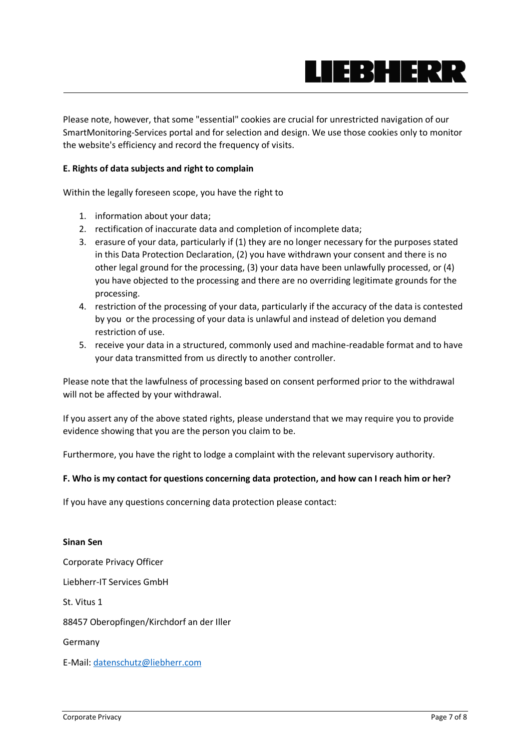

Please note, however, that some "essential" cookies are crucial for unrestricted navigation of our SmartMonitoring-Services portal and for selection and design. We use those cookies only to monitor the website's efficiency and record the frequency of visits.

# **E. Rights of data subjects and right to complain**

Within the legally foreseen scope, you have the right to

- 1. information about your data;
- 2. rectification of inaccurate data and completion of incomplete data;
- 3. erasure of your data, particularly if (1) they are no longer necessary for the purposes stated in this Data Protection Declaration, (2) you have withdrawn your consent and there is no other legal ground for the processing, (3) your data have been unlawfully processed, or (4) you have objected to the processing and there are no overriding legitimate grounds for the processing.
- 4. restriction of the processing of your data, particularly if the accuracy of the data is contested by you or the processing of your data is unlawful and instead of deletion you demand restriction of use.
- 5. receive your data in a structured, commonly used and machine-readable format and to have your data transmitted from us directly to another controller.

Please note that the lawfulness of processing based on consent performed prior to the withdrawal will not be affected by your withdrawal.

If you assert any of the above stated rights, please understand that we may require you to provide evidence showing that you are the person you claim to be.

Furthermore, you have the right to lodge a complaint with the relevant supervisory authority.

# **F. Who is my contact for questions concerning data protection, and how can I reach him or her?**

If you have any questions concerning data protection please contact:

# **Sinan Sen** Corporate Privacy Officer Liebherr-IT Services GmbH St. Vitus 1 88457 Oberopfingen/Kirchdorf an der Iller Germany E-Mail[: datenschutz@liebherr.com](mailto:datenschutz@liebherr.com)